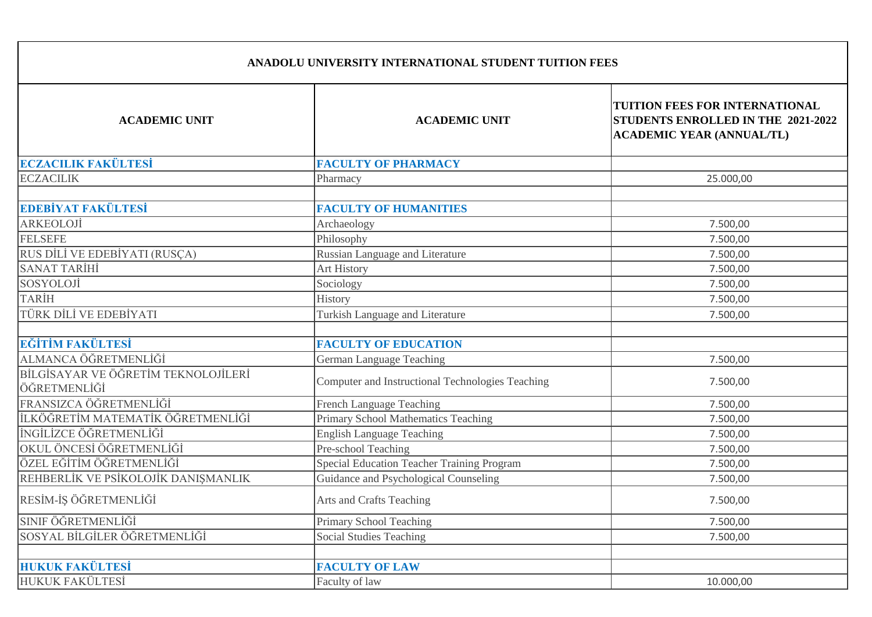| <b>ACADEMIC UNIT</b>                                | <b>ACADEMIC UNIT</b>                              | TUITION FEES FOR INTERNATIONAL<br>STUDENTS ENROLLED IN THE 2021-2022<br><b>ACADEMIC YEAR (ANNUAL/TL)</b> |
|-----------------------------------------------------|---------------------------------------------------|----------------------------------------------------------------------------------------------------------|
| <b>ECZACILIK FAKÜLTESİ</b>                          | <b>FACULTY OF PHARMACY</b>                        |                                                                                                          |
| <b>ECZACILIK</b>                                    | Pharmacy                                          | 25.000,00                                                                                                |
| EDEBİYAT FAKÜLTESİ                                  | <b>FACULTY OF HUMANITIES</b>                      |                                                                                                          |
| ARKEOLOJİ                                           | Archaeology                                       | 7.500,00                                                                                                 |
| <b>FELSEFE</b>                                      | Philosophy                                        | 7.500,00                                                                                                 |
| RUS DİLİ VE EDEBİYATI (RUSÇA)                       | Russian Language and Literature                   | 7.500,00                                                                                                 |
| <b>SANAT TARİHİ</b>                                 | <b>Art History</b>                                | 7.500,00                                                                                                 |
| SOSYOLOJİ                                           | Sociology                                         | 7.500,00                                                                                                 |
| TARİH                                               | History                                           | 7.500,00                                                                                                 |
| TÜRK DİLİ VE EDEBİYATI                              | Turkish Language and Literature                   | 7.500,00                                                                                                 |
| EĞİTİM FAKÜLTESİ                                    | <b>FACULTY OF EDUCATION</b>                       |                                                                                                          |
| ALMANCA ÖĞRETMENLİĞİ                                | German Language Teaching                          | 7.500,00                                                                                                 |
| BİLGİSAYAR VE ÖĞRETİM TEKNOLOJİLERİ<br>ÖĞRETMENLİĞİ | Computer and Instructional Technologies Teaching  | 7.500,00                                                                                                 |
| FRANSIZCA ÖĞRETMENLİĞİ                              | French Language Teaching                          | 7.500,00                                                                                                 |
| İLKÖĞRETİM MATEMATİK ÖĞRETMENLİĞİ                   | Primary School Mathematics Teaching               | 7.500,00                                                                                                 |
| İNGİLİZCE ÖĞRETMENLİĞİ                              | <b>English Language Teaching</b>                  | 7.500,00                                                                                                 |
| OKUL ÖNCESİ ÖĞRETMENLİĞİ                            | Pre-school Teaching                               | 7.500,00                                                                                                 |
| ÖZEL EĞİTİM ÖĞRETMENLİĞİ                            | <b>Special Education Teacher Training Program</b> | 7.500,00                                                                                                 |
| REHBERLİK VE PSİKOLOJİK DANIŞMANLIK                 | Guidance and Psychological Counseling             | 7.500,00                                                                                                 |
| RESİM-İŞ ÖĞRETMENLİĞİ                               | Arts and Crafts Teaching                          | 7.500,00                                                                                                 |
| SINIF ÖĞRETMENLİĞİ                                  | <b>Primary School Teaching</b>                    | 7.500,00                                                                                                 |
| SOSYAL BİLGİLER ÖĞRETMENLİĞİ                        | <b>Social Studies Teaching</b>                    | 7.500,00                                                                                                 |
| <b>HUKUK FAKÜLTESİ</b>                              | <b>FACULTY OF LAW</b>                             |                                                                                                          |

HUKUK FAKÜLTESİ Faculty of law 10.000,00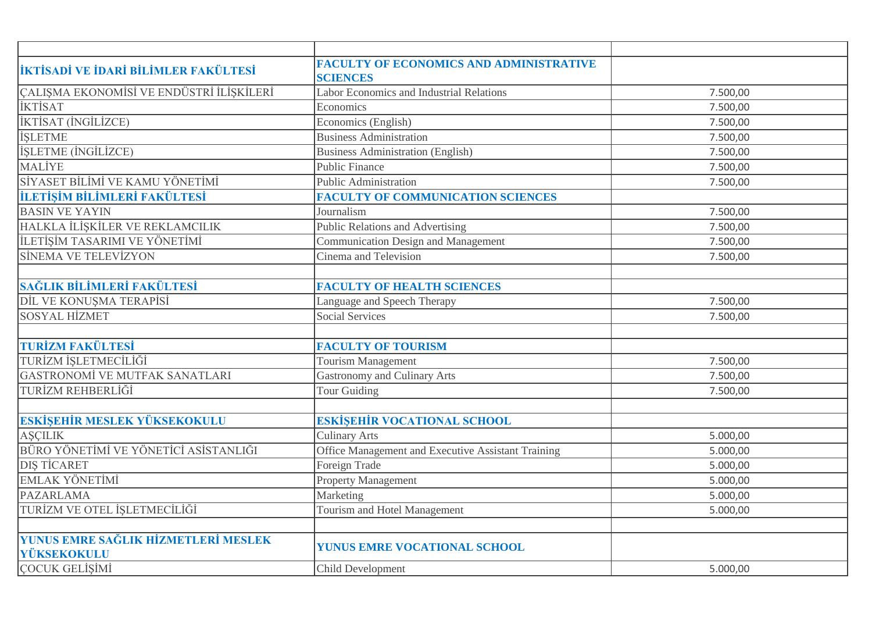| <b>İKTİSADİ VE İDARİ BİLİMLER FAKÜLTESİ</b> | <b>FACULTY OF ECONOMICS AND ADMINISTRATIVE</b><br><b>SCIENCES</b> |          |
|---------------------------------------------|-------------------------------------------------------------------|----------|
| ÇALIŞMA EKONOMİSİ VE ENDÜSTRİ İLİŞKİLERİ    | Labor Economics and Industrial Relations                          | 7.500,00 |
| <b>İKTİSAT</b>                              | Economics                                                         | 7.500,00 |
| İKTİSAT (İNGİLİZCE)                         | Economics (English)                                               | 7.500,00 |
| <b>İŞLETME</b>                              | <b>Business Administration</b>                                    | 7.500,00 |
| <b>İŞLETME</b> (İNGİLİZCE)                  | <b>Business Administration (English)</b>                          | 7.500,00 |
| <b>MALİYE</b>                               | <b>Public Finance</b>                                             | 7.500,00 |
| SİYASET BİLİMİ VE KAMU YÖNETİMİ             | <b>Public Administration</b>                                      | 7.500,00 |
| İLETİŞİM BİLİMLERİ FAKÜLTESİ                | <b>FACULTY OF COMMUNICATION SCIENCES</b>                          |          |
| <b>BASIN VE YAYIN</b>                       | Journalism                                                        | 7.500,00 |
| HALKLA İLİŞKİLER VE REKLAMCILIK             | Public Relations and Advertising                                  | 7.500,00 |
| İLETİŞİM TASARIMI VE YÖNETİMİ               | Communication Design and Management                               | 7.500,00 |
| <b>SİNEMA VE TELEVİZYON</b>                 | Cinema and Television                                             | 7.500,00 |
|                                             |                                                                   |          |
| SAĞLIK BİLİMLERİ FAKÜLTESİ                  | <b>FACULTY OF HEALTH SCIENCES</b>                                 |          |
| DİL VE KONUŞMA TERAPİSİ                     | Language and Speech Therapy                                       | 7.500,00 |
| <b>SOSYAL HİZMET</b>                        | <b>Social Services</b>                                            | 7.500,00 |
|                                             |                                                                   |          |
| <b>TURİZM FAKÜLTESİ</b>                     | <b>FACULTY OF TOURISM</b>                                         |          |
| TURİZM İŞLETMECİLİĞİ                        | Tourism Management                                                | 7.500,00 |
| GASTRONOMİ VE MUTFAK SANATLARI              | <b>Gastronomy and Culinary Arts</b>                               | 7.500,00 |
| TURİZM REHBERLİĞİ                           | <b>Tour Guiding</b>                                               | 7.500,00 |
|                                             |                                                                   |          |
| ESKİŞEHİR MESLEK YÜKSEKOKULU                | <b>ESKİŞEHİR VOCATIONAL SCHOOL</b>                                |          |
| <b>AŞÇILIK</b>                              | <b>Culinary Arts</b>                                              | 5.000,00 |
| BÜRO YÖNETİMİ VE YÖNETİCİ ASİSTANLIĞI       | Office Management and Executive Assistant Training                | 5.000,00 |
| <b>DIS TİCARET</b>                          | Foreign Trade                                                     | 5.000,00 |
| <b>EMLAK YÖNETİMİ</b>                       | <b>Property Management</b>                                        | 5.000,00 |
| PAZARLAMA                                   | Marketing                                                         | 5.000,00 |
| TURİZM VE OTEL İŞLETMECİLİĞİ                | Tourism and Hotel Management                                      | 5.000,00 |
|                                             |                                                                   |          |
| YUNUS EMRE SAĞLIK HİZMETLERİ MESLEK         | YUNUS EMRE VOCATIONAL SCHOOL                                      |          |
| YÜKSEKOKULU                                 |                                                                   |          |
| ÇOCUK GELİŞİMİ                              | Child Development                                                 | 5.000,00 |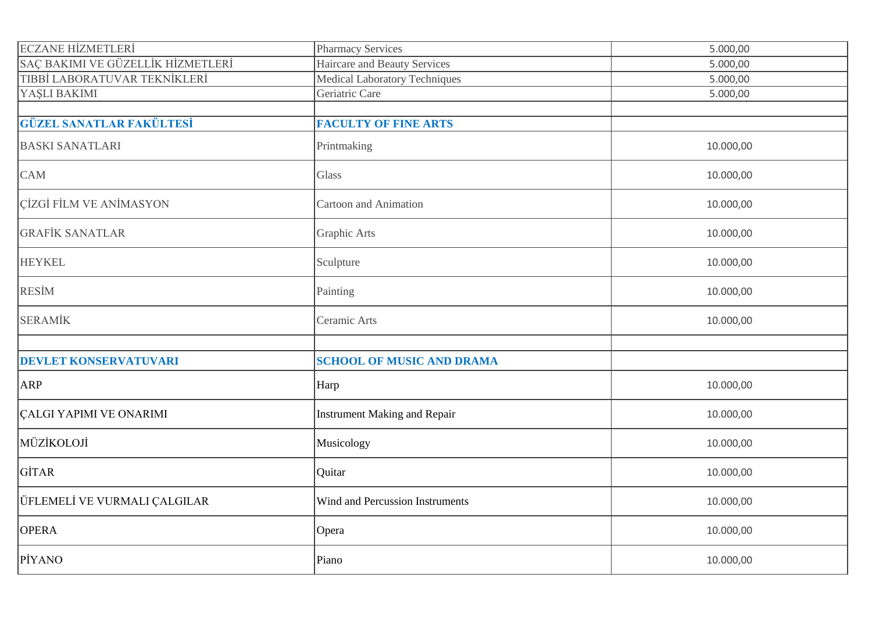| <b>ECZANE HİZMETLERİ</b>          | <b>Pharmacy Services</b>            | 5.000,00  |
|-----------------------------------|-------------------------------------|-----------|
| SAÇ BAKIMI VE GÜZELLİK HİZMETLERİ | <b>Haircare and Beauty Services</b> | 5.000,00  |
| TIBBİ LABORATUVAR TEKNİKLERİ      | Medical Laboratory Techniques       | 5.000,00  |
| YAŞLI BAKIMI                      | Geriatric Care                      | 5.000,00  |
|                                   |                                     |           |
| <b>GÜZEL SANATLAR FAKÜLTESİ</b>   | <b>FACULTY OF FINE ARTS</b>         |           |
| <b>BASKI SANATLARI</b>            | Printmaking                         | 10.000,00 |
| <b>CAM</b>                        | Glass                               | 10.000,00 |
| <b>ÇİZGİ FİLM VE ANİMASYON</b>    | Cartoon and Animation               | 10.000,00 |
| <b>GRAFİK SANATLAR</b>            | Graphic Arts                        | 10.000,00 |
| <b>HEYKEL</b>                     | Sculpture                           | 10.000,00 |
| <b>RESIM</b>                      | Painting                            | 10.000,00 |
| <b>SERAMİK</b>                    | Ceramic Arts                        | 10.000,00 |
|                                   |                                     |           |
| <b>DEVLET KONSERVATUVARI</b>      | <b>SCHOOL OF MUSIC AND DRAMA</b>    |           |
| ARP                               | Harp                                | 10.000,00 |
| <b>CALGI YAPIMI VE ONARIMI</b>    | <b>Instrument Making and Repair</b> | 10.000,00 |
| MÜZİKOLOJİ                        | Musicology                          | 10.000,00 |
| GİTAR                             | Quitar                              | 10.000,00 |
| ÜFLEMELİ VE VURMALI ÇALGILAR      | Wind and Percussion Instruments     | 10.000,00 |
| <b>OPERA</b>                      | Opera                               | 10.000,00 |
| <b>PIYANO</b>                     | Piano                               | 10.000,00 |